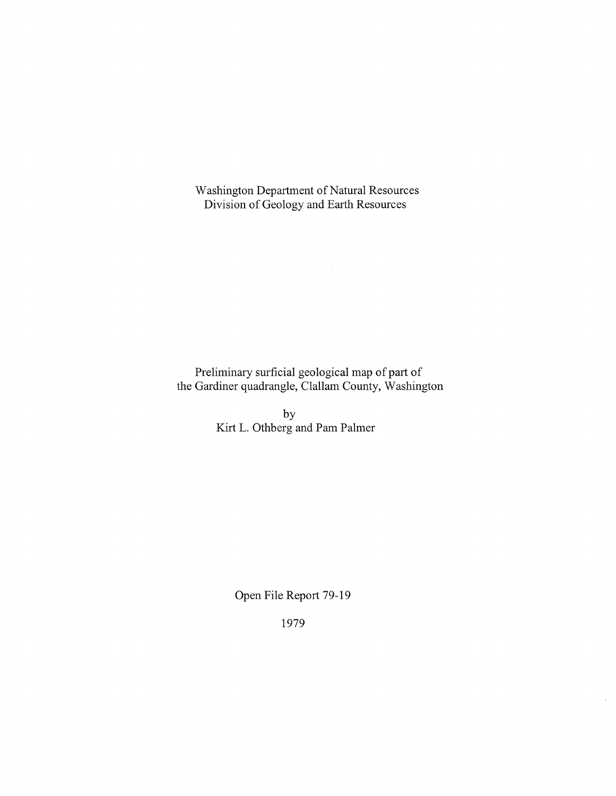Washington Department of Natural Resources Division of Geology and Earth Resources

Preliminary surficial geological map of part of the Gardiner quadrangle, Clallam County, Washington

> by Kirt L. Othberg and Pam Palmer

> > Open File Report 79-19

1979

 $\mathcal{A}^{\mathcal{A}}$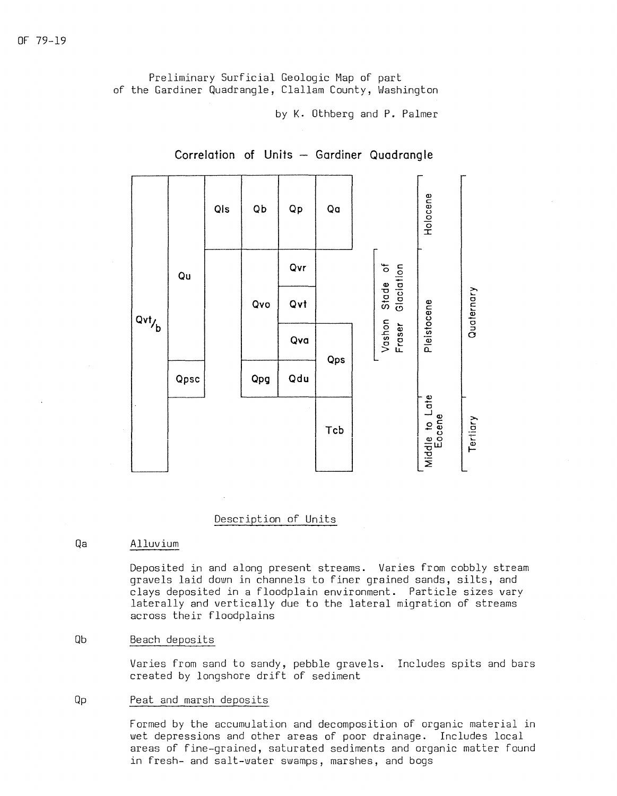Preliminary Surficial Geologic Map of part of the Gardiner Quadrangle, Clallam County, Washington

by **K.** Othberg and P. Palmer



# **Correlation of Units - Gardiner Quadrangle**

## Description of Units

### Qa Alluvium

Deposited in and along present streams. Varies from cobbly stream gravels laid down in channels to finer grained sands, silts, and clays deposited in a floodplain environment. Particle sizes vary laterally and vertically due to the lateral migration of streams across their floodplains

### Qb Beach deposits

Varies from sand to sandy, pebble gravels. Includes spits and bars created by longshore drift of sediment

#### Qp Peat and marsh deposits

Formed by the accumulation and decomposition of organic material in wet depressions and other areas of poor drainage. Includes local areas of fine-grained, saturated sediments and organic matter found in fresh- and salt-water swamps, marshes, and bogs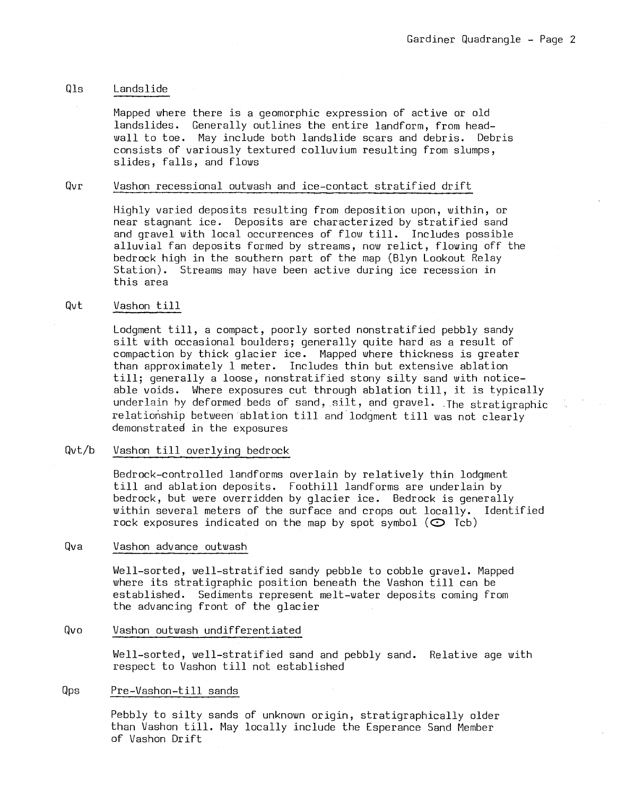## Qls Landslide

Mapped where there is a geomorphic expression of active or old landslides. Generally outlines the entire landform, from headwall to toe. May include both landslide scars and debris. Debris consists of variously textured colluvium resulting from slumps, slides, falls, and flows

# Qvr Vashon recessional outwash and ice-contact stratified drift

Highly varied deposits resulting from deposition upon, within, or near stagnant ice. Deposits are characterized by stratified sand and gravel with local occurrences of flow till. Includes possible alluvial fan deposits formed by streams, now relict, flowing off the bedrock high in the southern part of the map (Blyn Lookout Relay Station). Streams may have been active during ice recession in this area

### Qvt Vashon till

Lodgment till, a compact, poorly sorted nonstratified pebbly sandy silt with occasional boulders; generally quite hard as a result of compaction by thick glacier ice. Mapped where thickness is greater than approximately l meter. Includes thin but extensive ablation till; generally a loose, nonstratified stony silty sand with noticeable voids. Where exposures cut through ablation till, it is typically underlain by deformed beds of sand, silt, and gravel. The stratigraphic relationship between ablation till and lodgment till was not clearly demonstrated in the exposures

### Qvt/b Vashon till overlying bedrock

Bedrock-controlled landforms overlain by relatively thin lodgment till and ablation deposits. Foothill landforms are underlain by bedrock, but were overridden by glacier ice. Bedrock is generally within several meters of the surface and crops out locally. Identified rock exposures indicated on the map by spot symbol  $(\mathbb{C}^{\mathbb{C}})$  Tcb)

### Qva Vashon advance outwash

Well-sorted, well-stratified sandy pebble to cobble gravel. Mapped where its stratigraphic position beneath the Vashon till can be established. Sediments represent melt-water deposits coming from the advancing front of the glacier

# Qvo Vashon outwash undifferentiated

Well-sorted, well-stratified sand and pebbly sand. Relative age with respect to Vashon till not established

### Qps Pre-Vashon-till sands

Pebbly to silty sands of unknown origin, stratigraphically older than Vashon till. May locally include the Esperance Sand Member of Vashon Drift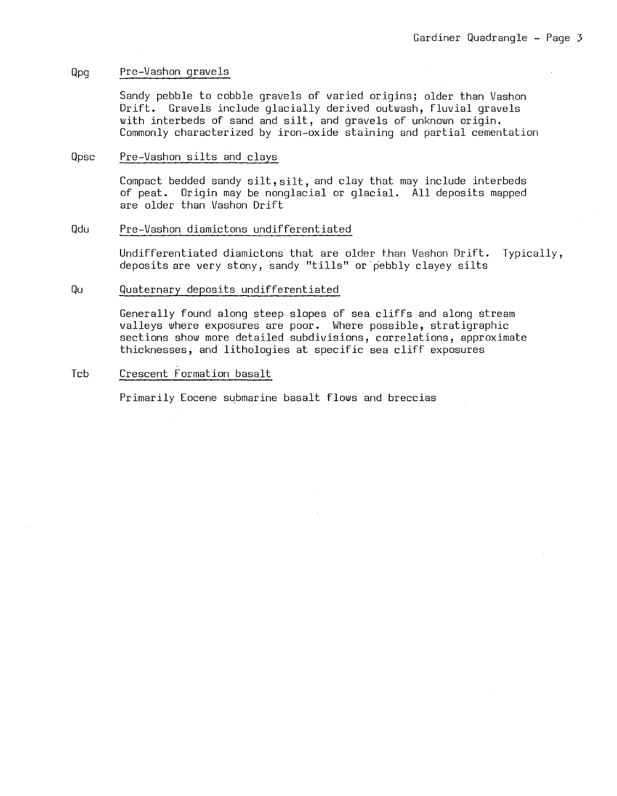#### Qpg Pre-Vashon gravels

Sandy pebble to cobble gravels of varied origins; older than Vashon<br>Drift. Gravels include glacially derived outwash, fluvial gravels Gravels include glacially derived outwash, fluvial gravels with interbeds of sand and silt, and gravels of unknown origin. Commonly characterized by iron-oxide staining and partial cementation

#### Qpsc Pre-Vashon silts and clays

Compact bedded sandy silt, silt, and clay that may include interbeds of peat. Origin may be nonglacial or glacial. All deposits mapped are older than Vashon Drift

### Qdu Pre-Vashon diamictons undifferentiated

Undifferentiated diamictons that are older than Vashon Drift. Typically, deposits are very stony, sandy "tills" or pebbly clayey silts

#### Qu Quaternary deposits undifferentiated

Generally found along steep slopes of sea cliffs and along stream valleys where exposures are poor. Where possible, stratigraphic sections show more detailed subdivisions, correlations, approximate thicknesses, and lithologies at specific sea cliff exposures

## Tcb Crescent Formation basalt

Primarily Eocene submarine basalt flows and breccias